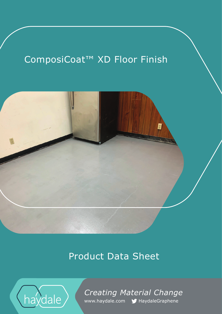# ComposiCoat™ XD Floor Finish



# Product Data Sheet



*Creating Material Change*  www.haydale.com MHaydaleGraphene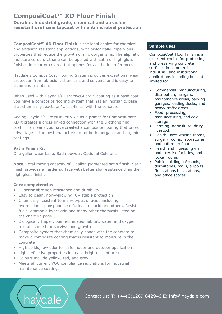# **ComposiCoat™ XD Floor Finish Durable, industrial grade, chemical and abrasion resistant urethane topcoat with antimicrobial protection**

**ComposiCoat™ XD Floor Finish** is the ideal choice for chemical and abrasion resistant applications, with biologically impervious properties that reduce the growth of microorganisms. The aliphatic moisture cured urethane can be applied with satin or high gloss finishes in clear or colored tint options for aesthetic preferences.

Haydale's ComposiCoat Flooring System provides exceptional wear protection from abrasion, chemicals and solvents and is easy to clean and maintain.

When used with Haydale's CeramycGuard™ coating as a base coat you have a composite flooring system that has an inorganic, base that chemically reacts or "cross-links" with the concrete.

Adding Haydale's CrossLinker VB™ as a primer for ComposiCoat™ XD it creates a cross-linked connection with the urethane final coat. This means you have created a composite flooring that takes advantage of the best characteristics of both inorganic and organic coatings.

# **Satin Finish Kit**

One gallon clear base, Satin powder, Optional Colorant.

**Note:** Total mixing capacity of 1 gallon pigmented satin finish. Satin finish provides a harder surface with better slip resistance than the high gloss finish.

# **Core competencies**

- Superior abrasion resistance and durability
- Easy to clean, non-yellowing, UV stable protection
- Chemically resistant to many types of acids including hydrochloric, phosphoric, sulfuric, citric acid and others. Resists fuels, ammonia hydroxide and many other chemicals listed on the chart on page 5
- Biologically Impervious: eliminates habitat, water, and oxygen microbes need for survival and growth
- Composite system that chemically bonds with the concrete to make a composite coating that is resistant to moisture in the concrete
- High solids, low odor for safe indoor and outdoor application
- Light reflective properties increase brightness of area
- Colours include yellow, red, and grey
- Meets all current VOC compliance regulations for industrial maintenance coatings

# **Sample uses**

ComposiCoat Floor Finish is an excellent choice for protecting and preserving concrete surfaces in commercial, industrial, and institutional applications including but not limited to:

- Commercial: manufacturing, distribution, hangars, maintenance areas, parking garages, loading docks, and heavy traffic areas
- Food: processing, manufacturing, and cold storage
- Farming: agriculture, dairy, livestock
- Health Care: waiting rooms, surgery rooms, laboratories, and bathroom floors
- Health and Fitness: gym and exercise facilities, and locker rooms
- Public buildings: Schools, dormitories, malls, airports, fire stations bus stations, and office spaces.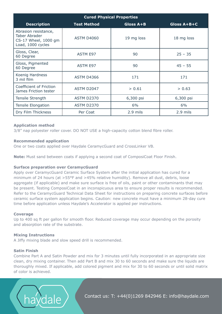| <b>Cured Physical Properties</b>                                                          |                    |            |             |  |  |
|-------------------------------------------------------------------------------------------|--------------------|------------|-------------|--|--|
| <b>Description</b>                                                                        | <b>Test Method</b> | Gloss A+B  | Gloss A+B+C |  |  |
| Abrasion resistance,<br><b>Taber Abrader</b><br>CS-17 Wheel, 1000 gm<br>Load, 1000 cycles | <b>ASTM D4060</b>  | 19 mg loss | 18 mg loss  |  |  |
| Gloss, Clear,<br>60 Degree                                                                | <b>ASTM E97</b>    | 90         | $25 - 35$   |  |  |
| Gloss, Pigmented<br>60 Degree                                                             | <b>ASTM E97</b>    | 90         | $45 - 55$   |  |  |
| Koenig Hardness<br>3 mil film                                                             | <b>ASTM D4366</b>  | 171        | 171         |  |  |
| Coefficient of Friction<br>James Friction tester                                          | ASTM D2047         | > 0.61     | > 0.63      |  |  |
| Tensile Strength                                                                          | <b>ASTM D2370</b>  | 6,300 psi  | 6,300 psi   |  |  |
| <b>Tensile Elongation</b>                                                                 | <b>ASTM D2370</b>  | 6%         | 6%          |  |  |
| Dry Film Thickness                                                                        | Per Coat           | 2.9 mils   | 2.9 mils    |  |  |

# **Application method**

3/8" nap polyester roller cover. DO NOT USE a high-capacity cotton blend fibre roller.

# **Recommended application**

One or two coats applied over Haydale CeramycGuard and CrossLinker VB.

**Note:** Must sand between coats if applying a second coat of ComposiCoat Floor Finish.

# **Surface preparation over CeramycGuard**

Apply over CeramycGuard Ceramic Surface System after the initial application has cured for a minimum of 24 hours (at >55°F and >45% relative humidity). Remove all dust, debris, loose aggregate (if applicable) and make sure surface is free of oils, paint or other contaminants that may be present. Testing ComposiCoat in an inconspicuous area to ensure proper results is recommended. Refer to the CeramycGuard Technical Data Sheet for instructions on preparing concrete surfaces before ceramic surface system application begins. Caution: new concrete must have a minimum 28-day cure time before application unless Haydale's Accelerator is applied per instructions.

#### **Coverage**

Up to 400 sq ft per gallon for smooth floor. Reduced coverage may occur depending on the porosity and absorption rate of the substrate.

#### **Mixing Instructions**

A Jiffy mixing blade and slow speed drill is recommended.

# **Satin Finish**

Combine Part A and Satin Powder and mix for 3 minutes until fully incorporated in an appropriate size clean, dry mixing container. Then add Part B and mix 30 to 60 seconds and make sure the liquids are thoroughly mixed. If applicable, add colored pigment and mix for 30 to 60 seconds or until solid matrix of color is achieved.

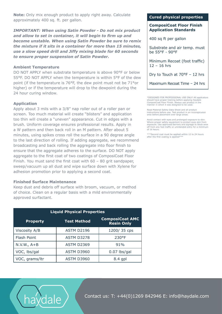**Note:** Only mix enough product to apply right away. Calculate approximately 400 sq. ft. per gallon.

*IMPORTANT: When using Satin Powder - Do not mix product and allow to set in container, it will begin to firm up and become unstable. When using Satin Powder be sure to remix the mixture if it sits in a container for more than 15 minutes, use a slow speed drill and Jiffy mixing blade for 60 seconds to ensure proper suspension of Satin Powder.* 

# **Ambient Temperature**

DO NOT APPLY when substrate temperature is above 90°F or below 55°F. DO NOT APPLY when the temperature is within 5°F of the dew point (if the temperature is 76°F, the dew point must not be 71°or higher) or if the temperature will drop to the dewpoint during the 24 hour curing window.

## **Application**

Apply about 3 mils with a 3/8" nap roller out of a roller pan or screen. Too much material will create "blisters" and application too thin will create a "uneven" appearance. Cut in edges with a brush. Uniform coverage ensures professional results. Apply in a W pattern and then back roll in an M pattern. After about 5 minutes, using spikes cross roll the surface in a 90 degree angle to the last direction of rolling. If adding aggregate, we recommend broadcasting and back rolling the aggregate into floor finish to ensure that the aggregate adheres to the surface. DO NOT apply aggregate to the first coat of two coatings of ComposiCoat Floor Finish. You must sand the first coat with 60 – 80 grit sandpaper, sweep/vacuum up all dust and wipe surface down with Xylene for adhesion promotion prior to applying a second coat.

#### **Finished Surface Maintenance**

Keep dust and debris off surface with broom, vacuum, or method of choice. Clean on a regular basis with a mild environmentally approved surfactant.

| <b>Liquid Physical Properties</b> |                    |                                             |  |  |  |
|-----------------------------------|--------------------|---------------------------------------------|--|--|--|
| <b>Property</b>                   | <b>Test Method</b> | <b>ComposiCoat AMC</b><br><b>Resin Only</b> |  |  |  |
| <b>Viscosity A/B</b>              | <b>ASTM D2196</b>  | 1200/35 cps                                 |  |  |  |
| <b>Flash Point</b>                | <b>ASTM D3278</b>  | 230°F                                       |  |  |  |
| $N.V.W., A+B$                     | ASTM D2369         | 91%                                         |  |  |  |
| VOC, Ibs/gal                      | <b>ASTM D3960</b>  | $0.07$ lbs/gal                              |  |  |  |
| VOC, grams/ltr                    | <b>ASTM D3960</b>  | $8.4$ gpl                                   |  |  |  |

#### **Cured physical properties**

## **ComposiCoat Floor Finish Application Standards**

400 sq ft per gallon

Substrate and air temp. must be 55°F - 90°F

Minimum Recoat (foot traffic) 12 – 16 hrs

Dry to Touch at 70°F – 12 hrs

Maximum Recoat Time – 24 hrs

\*DESIGNED FOR PROFESSIONAL USE ONLY! All applicators should have proper training before applying Haydale ComposiCoat Floor Finish. Always use product in the manner in which it was designed to be used.

Read Material Safety Data Sheet and all product instructions before use. Test product in an inconspicuous area before placement over large areas.

Avoid contact with eyes and prolonged exposure to skin. Where proper safety equipment to protect eyes skin from exposure. Use approved barriers and signage to block area off from any foot traffic or unintended entry for a minimum of 16 hours.

\*\*\*Second coat must be applied within 12 to 24 hours after the first coating is applied\*\*\*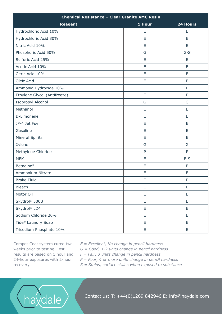| <b>Chemical Resistance - Clear Granite AMC Resin</b> |              |          |  |  |
|------------------------------------------------------|--------------|----------|--|--|
| <b>Reagent</b>                                       | 1 Hour       | 24 Hours |  |  |
| Hydrochloric Acid 10%                                | E            | E        |  |  |
| Hydrochloric Acid 30%                                | Е            | E        |  |  |
| Nitric Acid 10%                                      | E            | E        |  |  |
| Phosphoric Acid 50%                                  | G            | $G-S$    |  |  |
| Sulfuric Acid 25%                                    | E            | E        |  |  |
| Acetic Acid 10%                                      | E            | E        |  |  |
| Citric Acid 10%                                      | E            | E        |  |  |
| Oleic Acid                                           | E            | E        |  |  |
| Ammonia Hydroxide 10%                                | E            | E        |  |  |
| Ethylene Glycol (Antifreeze)                         | E            | E        |  |  |
| Isopropyl Alcohol                                    | G            | G        |  |  |
| Methanol                                             | E            | E        |  |  |
| D-Limonene                                           | E            | E        |  |  |
| JP-4 Jet Fuel                                        | E            | E        |  |  |
| Gasoline                                             | E            | E        |  |  |
| <b>Mineral Spirits</b>                               | E            | E        |  |  |
| Xylene                                               | G            | G        |  |  |
| Methylene Chloride                                   | $\mathsf{P}$ | P        |  |  |
| <b>MEK</b>                                           | E            | $E-S$    |  |  |
| Betadine®                                            | E            | E        |  |  |
| Ammonium Nitrate                                     | E            | E        |  |  |
| <b>Brake Fluid</b>                                   | E            | E        |  |  |
| <b>Bleach</b>                                        | E            | E        |  |  |
| Motor Oil                                            | E            | E        |  |  |
| Skydrol <sup>®</sup> 500B                            | E            | E        |  |  |
| Skydrol® LD4                                         | E            | E        |  |  |
| Sodium Chloride 20%                                  | E            | E        |  |  |
| Tide <sup>®</sup> Laundry Soap                       | E            | E        |  |  |
| Trisodium Phosphate 10%                              | E            | E        |  |  |

weeks prior to testing. Test 24-hour exposures with 2-hour recovery.

dale

ComposiCoat system cured two *E = Excellent, No change in pencil hardness*

*G = Good, 1-2 units change in pencil hardness*

results are based on 1 hour and *F = Fair, 3 units change in pencil hardness*

*P = Poor, 4 or more units change in pencil hardness*

*S = Stains, surface stains when exposed to substance*